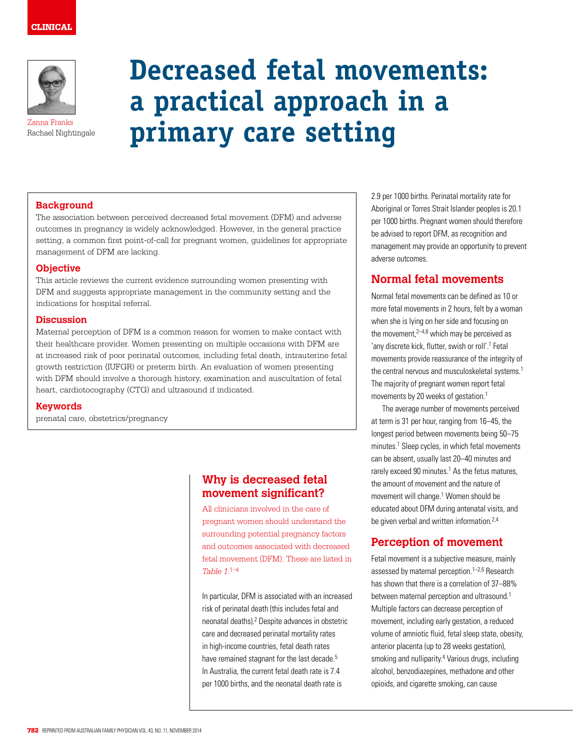## CLINICAL



Zanna Franks Rachael Nightingale

# **Decreased fetal movements: a practical approach in a primary care setting**

#### **Background**

The association between perceived decreased fetal movement (DFM) and adverse outcomes in pregnancy is widely acknowledged. However, in the general practice setting, a common first point-of-call for pregnant women, guidelines for appropriate management of DFM are lacking.

#### **Objective**

This article reviews the current evidence surrounding women presenting with DFM and suggests appropriate management in the community setting and the indications for hospital referral.

#### **Discussion**

Maternal perception of DFM is a common reason for women to make contact with their healthcare provider. Women presenting on multiple occasions with DFM are at increased risk of poor perinatal outcomes, including fetal death, intrauterine fetal growth restriction (IUFGR) or preterm birth. An evaluation of women presenting with DFM should involve a thorough history, examination and auscultation of fetal heart, cardiotocography (CTG) and ultrasound if indicated.

**Keywords**

prenatal care, obstetrics/pregnancy

## **Why is decreased fetal movement significant?**

All clinicians involved in the care of pregnant women should understand the surrounding potential pregnancy factors and outcomes associated with decreased fetal movement (DFM). These are listed in *Table 1*. 1–4

In particular, DFM is associated with an increased risk of perinatal death (this includes fetal and neonatal deaths).<sup>2</sup> Despite advances in obstetric care and decreased perinatal mortality rates in high-income countries, fetal death rates have remained stagnant for the last decade.<sup>5</sup> In Australia, the current fetal death rate is 7.4 per 1000 births, and the neonatal death rate is

2.9 per 1000 births. Perinatal mortality rate for Aboriginal or Torres Strait Islander peoples is 20.1 per 1000 births. Pregnant women should therefore be advised to report DFM, as recognition and management may provide an opportunity to prevent adverse outcomes.

## **Normal fetal movements**

Normal fetal movements can be defined as 10 or more fetal movements in 2 hours, felt by a woman when she is lying on her side and focusing on the movement, $2-4.6$  which may be perceived as 'any discrete kick, flutter, swish or roll'.<sup>1</sup> Fetal movements provide reassurance of the integrity of the central nervous and musculoskeletal systems.<sup>1</sup> The majority of pregnant women report fetal movements by 20 weeks of gestation.<sup>1</sup>

The average number of movements perceived at term is 31 per hour, ranging from 16–45, the longest period between movements being 50–75 minutes.<sup>1</sup> Sleep cycles, in which fetal movements can be absent, usually last 20–40 minutes and rarely exceed 90 minutes.<sup>1</sup> As the fetus matures, the amount of movement and the nature of movement will change.<sup>1</sup> Women should be educated about DFM during antenatal visits, and be given verbal and written information.<sup>2,4</sup>

# **Perception of movement**

Fetal movement is a subjective measure, mainly assessed by maternal perception.<sup>1-2,6</sup> Research has shown that there is a correlation of 37–88% between maternal perception and ultrasound.<sup>1</sup> Multiple factors can decrease perception of movement, including early gestation, a reduced volume of amniotic fluid, fetal sleep state, obesity, anterior placenta (up to 28 weeks gestation), smoking and nulliparity.<sup>4</sup> Various drugs, including alcohol, benzodiazepines, methadone and other opioids, and cigarette smoking, can cause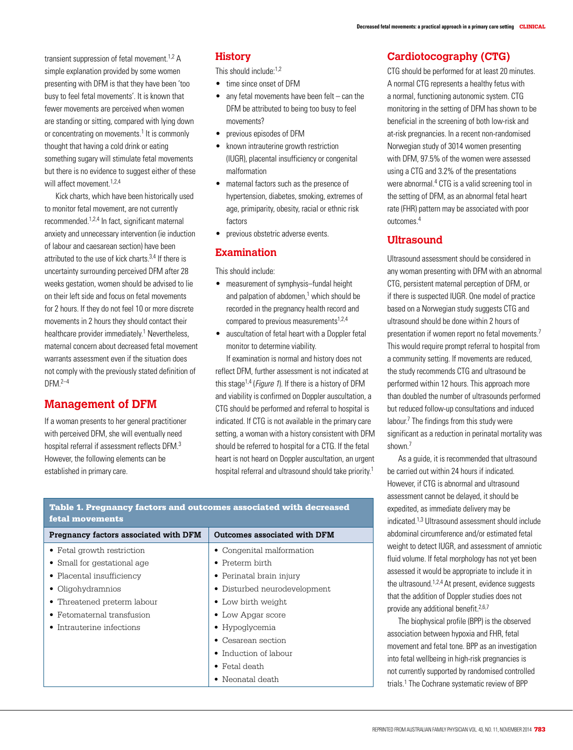transient suppression of fetal movement  $1.2$  A simple explanation provided by some women presenting with DFM is that they have been 'too busy to feel fetal movements'. It is known that fewer movements are perceived when women are standing or sitting, compared with lying down or concentrating on movements.<sup>1</sup> It is commonly thought that having a cold drink or eating something sugary will stimulate fetal movements but there is no evidence to suggest either of these will affect movement.<sup>1,2,4</sup>

Kick charts, which have been historically used to monitor fetal movement, are not currently recommended.1,2,4 In fact, significant maternal anxiety and unnecessary intervention (ie induction of labour and caesarean section) have been attributed to the use of kick charts.3,4 If there is uncertainty surrounding perceived DFM after 28 weeks gestation, women should be advised to lie on their left side and focus on fetal movements for 2 hours. If they do not feel 10 or more discrete movements in 2 hours they should contact their healthcare provider immediately.<sup>1</sup> Nevertheless, maternal concern about decreased fetal movement warrants assessment even if the situation does not comply with the previously stated definition of  $DFM<sup>2-4</sup>$ 

## **Management of DFM**

If a woman presents to her general practitioner with perceived DFM, she will eventually need hospital referral if assessment reflects DFM.3 However, the following elements can be established in primary care.

## **History**

This should include:<sup>1,2</sup>

- time since onset of DFM
- $\bullet$  any fetal movements have been felt can the DFM be attributed to being too busy to feel movements?
- previous episodes of DFM
- known intrauterine growth restriction (IUGR), placental insufficiency or congenital malformation
- maternal factors such as the presence of hypertension, diabetes, smoking, extremes of age, primiparity, obesity, racial or ethnic risk factors
- previous obstetric adverse events.

#### **Examination**

This should include:

- measurement of symphysis–fundal height and palpation of abdomen,<sup>1</sup> which should be recorded in the pregnancy health record and compared to previous measurements<sup>1,2,4</sup>
- auscultation of fetal heart with a Doppler fetal monitor to determine viability.

If examination is normal and history does not reflect DFM, further assessment is not indicated at this stage<sup>1,4</sup> (*Figure 1*). If there is a history of DFM and viability is confirmed on Doppler auscultation, a CTG should be performed and referral to hospital is indicated. If CTG is not available in the primary care setting, a woman with a history consistent with DFM should be referred to hospital for a CTG. If the fetal heart is not heard on Doppler auscultation, an urgent hospital referral and ultrasound should take priority.1

| retar movements                       |                              |
|---------------------------------------|------------------------------|
| Pregnancy factors associated with DFM | Outcomes associated with DFM |
| • Fetal growth restriction            | • Congenital malformation    |
| • Small for gestational age           | $\bullet$ Preterm birth      |
| • Placental insufficiency             | • Perinatal brain injury     |
| • Oligohydramnios                     | • Disturbed neurodevelopment |
| • Threatened preterm labour           | • Low birth weight           |
| Fetomaternal transfusion              | • Low Apgar score            |
| Intrauterine infections               | $\bullet$ Hypoglycemia       |
|                                       | $\bullet$ Cesarean section   |
|                                       | • Induction of labour        |
|                                       | $\bullet$ Fetal death        |
|                                       | $\bullet\,$ Neonatal death   |

### **Cardiotocography (CTG)**

CTG should be performed for at least 20 minutes. A normal CTG represents a healthy fetus with a normal, functioning autonomic system. CTG monitoring in the setting of DFM has shown to be beneficial in the screening of both low-risk and at-risk pregnancies. In a recent non-randomised Norwegian study of 3014 women presenting with DFM, 97.5% of the women were assessed using a CTG and 3.2% of the presentations were abnormal.<sup>4</sup> CTG is a valid screening tool in the setting of DFM, as an abnormal fetal heart rate (FHR) pattern may be associated with poor outcomes.4

## **Ultrasound**

Ultrasound assessment should be considered in any woman presenting with DFM with an abnormal CTG, persistent maternal perception of DFM, or if there is suspected IUGR. One model of practice based on a Norwegian study suggests CTG and ultrasound should be done within 2 hours of presentation if women report no fetal movements.7 This would require prompt referral to hospital from a community setting. If movements are reduced, the study recommends CTG and ultrasound be performed within 12 hours. This approach more than doubled the number of ultrasounds performed but reduced follow-up consultations and induced labour.<sup>7</sup> The findings from this study were significant as a reduction in perinatal mortality was shown.7

As a guide, it is recommended that ultrasound be carried out within 24 hours if indicated. However, if CTG is abnormal and ultrasound assessment cannot be delayed, it should be expedited, as immediate delivery may be indicated.1,3 Ultrasound assessment should include abdominal circumference and/or estimated fetal weight to detect IUGR, and assessment of amniotic fluid volume. If fetal morphology has not yet been assessed it would be appropriate to include it in the ultrasound.1,2,4 At present, evidence suggests that the addition of Doppler studies does not provide any additional benefit.<sup>2,6,7</sup>

The biophysical profile (BPP) is the observed association between hypoxia and FHR, fetal movement and fetal tone. BPP as an investigation into fetal wellbeing in high-risk pregnancies is not currently supported by randomised controlled trials.1 The Cochrane systematic review of BPP

## Table 1. Pregnancy factors and outcomes associated with decreased fetal movements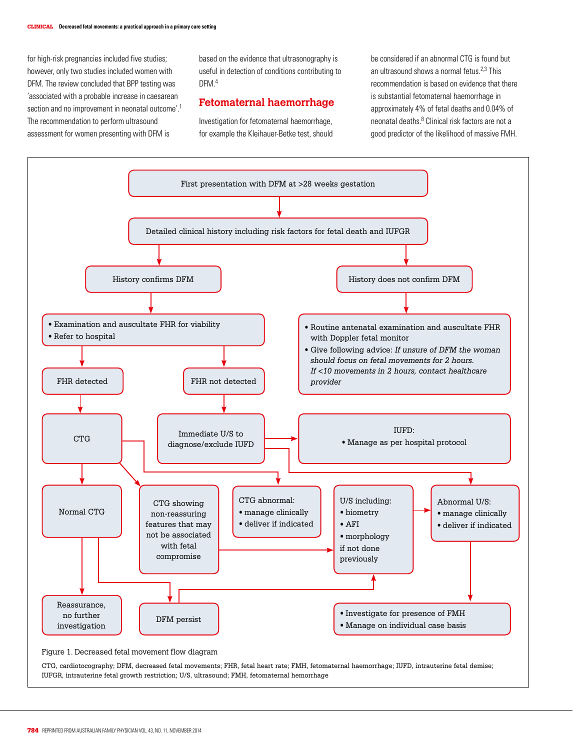for high-risk pregnancies included five studies; however, only two studies included women with DFM. The review concluded that BPP testing was 'associated with a probable increase in caesarean section and no improvement in neonatal outcome'.<sup>1</sup> The recommendation to perform ultrasound assessment for women presenting with DFM is

based on the evidence that ultrasonography is useful in detection of conditions contributing to DFM<sup>4</sup>

#### **Fetomaternal haemorrhage**

Investigation for fetomaternal haemorrhage, for example the Kleihauer-Betke test, should be considered if an abnormal CTG is found but an ultrasound shows a normal fetus.2,3 This recommendation is based on evidence that there is substantial fetomaternal haemorrhage in approximately 4% of fetal deaths and 0.04% of neonatal deaths.<sup>8</sup> Clinical risk factors are not a good predictor of the likelihood of massive FMH.



CTG, cardiotocography; DFM, decreased fetal movements; FHR, fetal heart rate; FMH, fetomaternal haemorrhage; IUFD, intrauterine fetal demise; IUFGR, intrauterine fetal growth restriction; U/S, ultrasound; FMH, fetomaternal hemorrhage